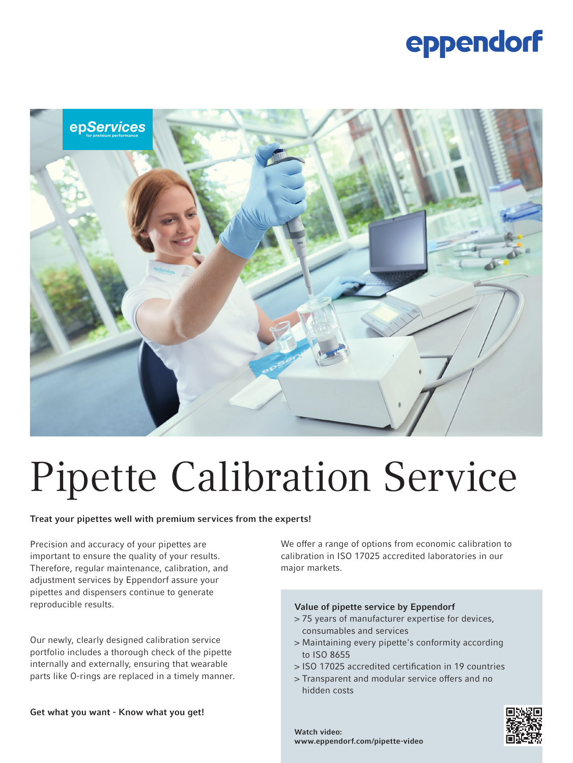### eppendorf



# Pipette Calibration Service

#### Treat your pipettes well with premium services from the experts!

Precision and accuracy of your pipettes are important to ensure the quality of your results. Therefore, regular maintenance, calibration, and adjustment services by Eppendorf assure your pipettes and dispensers continue to generate reproducible results.

Our newly, clearly designed calibration service portfolio includes a thorough check of the pipette internally and externally, ensuring that wearable parts like O-rings are replaced in a timely manner.

Get what you want - Know what you get!

We offer a range of options from economic calibration to calibration in ISO 17025 accredited laboratories in our major markets.

#### Value of pipette service by Eppendorf

- > 75 years of manufacturer expertise for devices, consumables and services
- > Maintaining every pipette's conformity according to ISO 8655
- > ISO 17025 accredited certification in 19 countries
- > Transparent and modular service offers and no hidden costs



Watch video: www.eppendorf.com/pipette-video